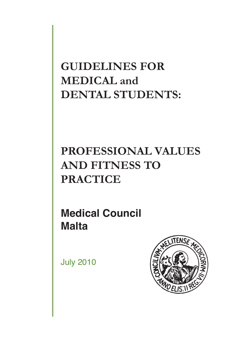**GUIDELINES FOR MEDICAL and DENTAL STUDENTS:** 

# **PROFESSIONAL VALUES AND FITNESS TO PRACTICE**

**Medical Council Malta**

July 2010

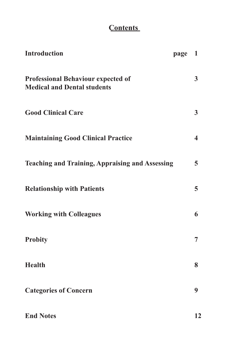# **Contents**

| <b>Introduction</b>                                                             | page | $\mathbf{1}$            |
|---------------------------------------------------------------------------------|------|-------------------------|
| <b>Professional Behaviour expected of</b><br><b>Medical and Dental students</b> |      | 3                       |
| <b>Good Clinical Care</b>                                                       |      | $\overline{3}$          |
| <b>Maintaining Good Clinical Practice</b>                                       |      | $\overline{\mathbf{4}}$ |
| <b>Teaching and Training, Appraising and Assessing</b>                          |      | 5                       |
| <b>Relationship with Patients</b>                                               |      | 5                       |
| <b>Working with Colleagues</b>                                                  |      | 6                       |
| <b>Probity</b>                                                                  |      | 7                       |
| <b>Health</b>                                                                   |      | 8                       |
| <b>Categories of Concern</b>                                                    |      | 9                       |
| <b>End Notes</b>                                                                |      | 12                      |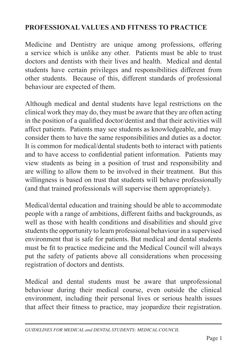# **PROFESSIONAL VALUES AND FITNESS TO PRACTICE**

Medicine and Dentistry are unique among professions, offering a service which is unlike any other. Patients must be able to trust doctors and dentists with their lives and health. Medical and dental students have certain privileges and responsibilities different from other students. Because of this, different standards of professional behaviour are expected of them.

Although medical and dental students have legal restrictions on the clinical work they may do, they must be aware that they are often acting in the position of a qualified doctor/dentist and that their activities will affect patients. Patients may see students as knowledgeable, and may consider them to have the same responsibilities and duties as a doctor. It is common for medical/dental students both to interact with patients and to have access to confidential patient information. Patients may view students as being in a position of trust and responsibility and are willing to allow them to be involved in their treatment. But this willingness is based on trust that students will behave professionally (and that trained professionals will supervise them appropriately).

Medical/dental education and training should be able to accommodate people with a range of ambitions, different faiths and backgrounds, as well as those with health conditions and disabilities and should give students the opportunity to learn professional behaviour in a supervised environment that is safe for patients. But medical and dental students must be fit to practice medicine and the Medical Council will always put the safety of patients above all considerations when processing registration of doctors and dentists.

Medical and dental students must be aware that unprofessional behaviour during their medical course, even outside the clinical environment, including their personal lives or serious health issues that affect their fitness to practice, may jeopardize their registration.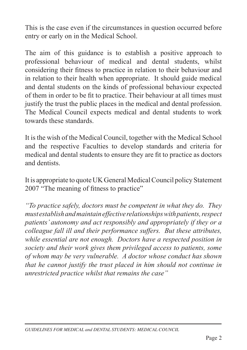This is the case even if the circumstances in question occurred before entry or early on in the Medical School.

The aim of this guidance is to establish a positive approach to professional behaviour of medical and dental students, whilst considering their fitness to practice in relation to their behaviour and in relation to their health when appropriate. It should guide medical and dental students on the kinds of professional behaviour expected of them in order to be fit to practice. Their behaviour at all times must justify the trust the public places in the medical and dental profession. The Medical Council expects medical and dental students to work towards these standards.

It is the wish of the Medical Council, together with the Medical School and the respective Faculties to develop standards and criteria for medical and dental students to ensure they are fit to practice as doctors and dentists.

It is appropriate to quote UK General MedicalCouncil policy Statement 2007 "The meaning of fitness to practice"

*"To practice safely, doctors must be competent in what they do. They mustestablishandmaintaineffectiverelationshipswithpatients, respect patients' autonomy and act responsibly and appropriately if they or a colleague fall ill and their performance suffers. But these attributes, while essential are not enough. Doctors have a respected position in society and their work gives them privileged access to patients, some of whom may be very vulnerable. A doctor whose conduct has shown that he cannot justify the trust placed in him should not continue in unrestricted practice whilst that remains the case"*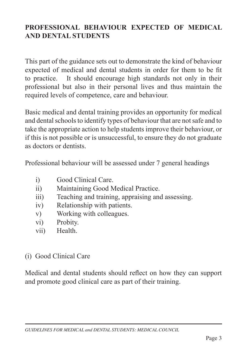## **PROFESSIONAL BEHAVIOUR EXPECTED OF MEDICAL AND DENTAL STUDENTS**

This part of the guidance sets out to demonstrate the kind of behaviour expected of medical and dental students in order for them to be fit to practice. It should encourage high standards not only in their professional but also in their personal lives and thus maintain the required levels of competence, care and behaviour.

Basic medical and dental training provides an opportunity for medical and dental schools to identify types of behaviour that are not safe and to take the appropriate action to help students improve their behaviour, or if this is not possible or is unsuccessful, to ensure they do not graduate as doctors or dentists.

Professional behaviour will be assessed under 7 general headings

- i) Good Clinical Care.
- ii) Maintaining Good Medical Practice.
- iii) Teaching and training, appraising and assessing.
- iv) Relationship with patients.
- v) Working with colleagues.
- vi) Probity.
- vii) Health.

#### (i) Good Clinical Care

Medical and dental students should reflect on how they can support and promote good clinical care as part of their training.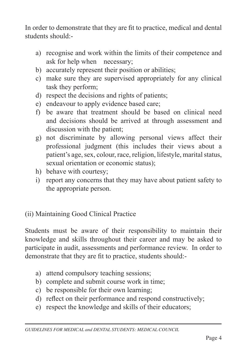In order to demonstrate that they are fit to practice, medical and dental students should:-

- a) recognise and work within the limits of their competence and ask for help when necessary;
- b) accurately represent their position or abilities;
- c) make sure they are supervised appropriately for any clinical task they perform;
- d) respect the decisions and rights of patients;
- e) endeavour to apply evidence based care;
- f) be aware that treatment should be based on clinical need and decisions should be arrived at through assessment and discussion with the patient;
- g) not discriminate by allowing personal views affect their professional judgment (this includes their views about a patient's age, sex, colour, race, religion, lifestyle, marital status, sexual orientation or economic status);
- h) behave with courtesy;
- i) report any concerns that they may have about patient safety to the appropriate person.

(ii) Maintaining Good Clinical Practice

Students must be aware of their responsibility to maintain their knowledge and skills throughout their career and may be asked to participate in audit, assessments and performance review. In order to demonstrate that they are fit to practice, students should:-

- a) attend compulsory teaching sessions;
- b) complete and submit course work in time;
- c) be responsible for their own learning;
- d) reflect on their performance and respond constructively;
- e) respect the knowledge and skills of their educators;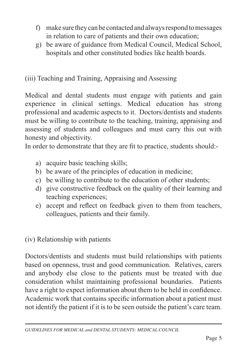- f) make sure theycanbe contactedandalwaysrespondtomessages in relation to care of patients and their own education;
- g) be aware of guidance from Medical Council, Medical School, hospitals and other constituted bodies like health boards.

(iii) Teaching and Training, Appraising and Assessing

Medical and dental students must engage with patients and gain experience in clinical settings. Medical education has strong professional and academic aspects to it. Doctors/dentists and students must be willing to contribute to the teaching, training, appraising and assessing of students and colleagues and must carry this out with honesty and objectivity.

In order to demonstrate that they are fit to practice, students should:-

- a) acquire basic teaching skills;
- b) be aware of the principles of education in medicine;
- c) be willing to contribute to the education of other students;
- d) give constructive feedback on the quality of their learning and teaching experiences;
- e) accept and reflect on feedback given to them from teachers, colleagues, patients and their family.

(iv) Relationship with patients

Doctors/dentists and students must build relationships with patients based on openness, trust and good communication. Relatives, carers and anybody else close to the patients must be treated with due consideration whilst maintaining professional boundaries. Patients have a right to expect information about them to be held in confidence. Academic work that contains specific information about a patient must not identify the patient if it is to be seen outside the patient's care team.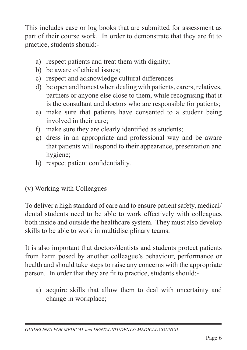This includes case or log books that are submitted for assessment as part of their course work. In order to demonstrate that they are fit to practice, students should:-

- a) respect patients and treat them with dignity;
- b) be aware of ethical issues;
- c) respect and acknowledge cultural differences
- d) be open and honest when dealing with patients, carers, relatives, partners or anyone else close to them, while recognising that it is the consultant and doctors who are responsible for patients;
- e) make sure that patients have consented to a student being involved in their care;
- f) make sure they are clearly identified as students;
- g) dress in an appropriate and professional way and be aware that patients will respond to their appearance, presentation and hygiene;
- h) respect patient confidentiality.

(v) Working with Colleagues

To deliver a high standard of care and to ensure patient safety, medical/ dental students need to be able to work effectively with colleagues both inside and outside the healthcare system. They must also develop skills to be able to work in multidisciplinary teams.

It is also important that doctors/dentists and students protect patients from harm posed by another colleague's behaviour, performance or health and should take steps to raise any concerns with the appropriate person. In order that they are fit to practice, students should:-

a) acquire skills that allow them to deal with uncertainty and change in workplace;

*GUIDELINES for Medical and Dental Students: Medical Council*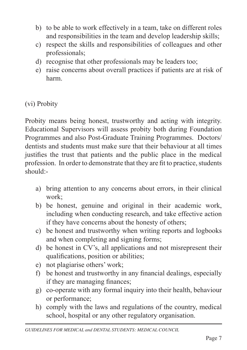- b) to be able to work effectively in a team, take on different roles and responsibilities in the team and develop leadership skills;
- c) respect the skills and responsibilities of colleagues and other professionals;
- d) recognise that other professionals may be leaders too;
- e) raise concerns about overall practices if patients are at risk of harm.

## (vi) Probity

Probity means being honest, trustworthy and acting with integrity. Educational Supervisors will assess probity both during Foundation Programmes and also Post-Graduate Training Programmes. Doctors/ dentists and students must make sure that their behaviour at all times justifies the trust that patients and the public place in the medical profession. In order to demonstrate that they are fit to practice, students should:-

- a) bring attention to any concerns about errors, in their clinical work;
- b) be honest, genuine and original in their academic work, including when conducting research, and take effective action if they have concerns about the honesty of others;
- c) be honest and trustworthy when writing reports and logbooks and when completing and signing forms;
- d) be honest in CV's, all applications and not misrepresent their qualifications, position or abilities;
- e) not plagiarise others' work;
- f) be honest and trustworthy in any financial dealings, especially if they are managing finances;
- g) co-operate with any formal inquiry into their health, behaviour or performance;
- h) comply with the laws and regulations of the country, medical school, hospital or any other regulatory organisation.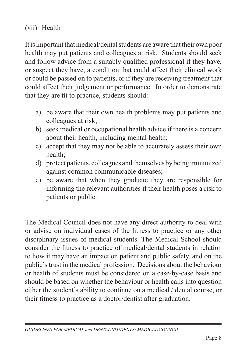(vii) Health

It is important that medical/dental students are aware that their own poor health may put patients and colleagues at risk. Students should seek and follow advice from a suitably qualified professional if they have, or suspect they have, a condition that could affect their clinical work or could be passed on to patients, or if they are receiving treatment that could affect their judgement or performance. In order to demonstrate that they are fit to practice, students should:-

- a) be aware that their own health problems may put patients and colleagues at risk;
- b) seek medical or occupational health advice if there is a concern about their health, including mental health;
- c) accept that they may not be able to accurately assess their own health;
- d) protect patients, colleagues and themselves by being immunized against common communicable diseases;
- e) be aware that when they graduate they are responsible for informing the relevant authorities if their health poses a risk to patients or public.

The Medical Council does not have any direct authority to deal with or advise on individual cases of the fitness to practice or any other disciplinary issues of medical students. The Medical School should consider the fitness to practice of medical/dental students in relation to how it may have an impact on patient and public safety, and on the public's trust in the medical profession. Decisions about the behaviour or health of students must be considered on a case-by-case basis and should be based on whether the behaviour or health calls into question either the student's ability to continue on a medical / dental course, or their fitness to practice as a doctor/dentist after graduation.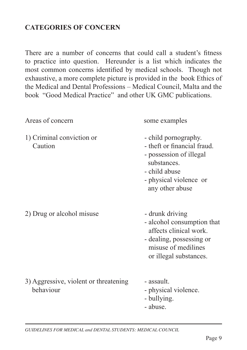# **CATEGORIES OF CONCERN**

There are a number of concerns that could call a student's fitness to practice into question. Hereunder is a list which indicates the most common concerns identified by medical schools. Though not exhaustive, a more complete picture is provided in the book Ethics of the Medical and Dental Professions – Medical Council, Malta and the book "Good Medical Practice" and other UK GMC publications.

| Areas of concern                                   | some examples                                                                                                                                               |
|----------------------------------------------------|-------------------------------------------------------------------------------------------------------------------------------------------------------------|
| 1) Criminal conviction or<br>Caution               | - child pornography.<br>- theft or financial fraud.<br>- possession of illegal<br>substances.<br>- child abuse<br>- physical violence or<br>any other abuse |
| 2) Drug or alcohol misuse                          | - drunk driving<br>- alcohol consumption that<br>affects clinical work.<br>- dealing, possessing or<br>misuse of medilines<br>or illegal substances.        |
| 3) Aggressive, violent or threatening<br>behaviour | - assault.<br>- physical violence.<br>- bullying.<br>- abuse.                                                                                               |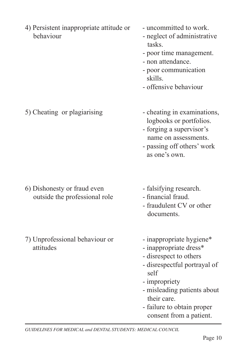- 4) Persistent inappropriate attitude or uncommitted to work. behaviour - neglect of administrative
	-
	- tasks.
	- poor time management.
	- non attendance.
- poor communication skills.
	- offensive behaviour

5) Cheating or plagiarising - cheating in examinations,

- logbooks or portfolios.
- forging a supervisor's name on assessments.
- passing off others' work as one's own.
- 6) Dishonesty or fraud even falsifying research. outside the professional role - financial fraud.
- 7) Unprofessional behaviour or inappropriate hygiene\* attitudes - inappropriate dress\*
- 
- 
- fraudulent CV or other documents.
- 
- 
- disrespect to others
- disrespectful portrayal of self and the self
	- impropriety
	- misleading patients about their care.
	- failure to obtain proper consent from a patient.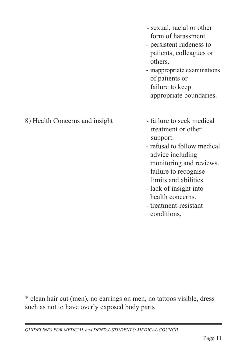such as not to have overly exposed body parts

\* clean hair cut (men), no earrings on men, no tattoos visible, dress

- treatment or other support.
- refusal to follow medical advice including
- monitoring and reviews.
- failure to recognise limits and abilities.
- lack of insight into health concerns.
- treatment-resistant conditions,

8) Health Concerns and insight - failure to seek medical

- sexual, racial or other form of harassment.
- persistent rudeness to patients, colleagues or
- others. - inappropriate examinations of patients or failure to keep appropriate boundaries.